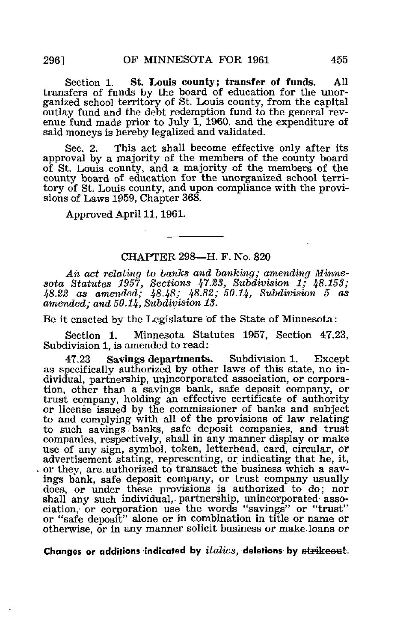Section 1. St. Louis county; transfer of funds. All transfers of funds by the board of education for the unorganized school territory of St. Louis county, from the capital outlay fund and the debt redemption fund to the general revenue fund made prior to July 1, 1960, and the expenditure of said moneys is hereby legalized and validated.

Sec. 2. This act shall become effective only after its approval by a majority of the members of the county board of St. Louis county, and a majority of the members of the county board of education for the unorganized school territory of St. Louis county, and upon compliance with the provisions of Laws 1959, Chapter 368.

Approved April 11,1961.

## CHAPTER 298—H. F. No. 820

An act relating to banks and banking; amending Minnesota Statutes 1957, Sections 47.23, Subdivision 1; 48.153; 48.22 as amended; 4848; 48.82; 50.14, Subdivision 5 as amended; and 50.14, Subdivision 13.

Be it enacted by the Legislature of the State of Minnesota:

Section 1. Minnesota Statutes 1957, Section 47.23, Subdivision 1, is amended to read:

47,23 Savings departments. Subdivision 1. Except as specifically authorized by other laws of this state, no individual, partnership, unincorporated association, or corporation, other than a savings bank, safe deposit company, or trust company, holding an effective certificate of authority or license issued by the commissioner of banks and subject to and complying with all of the provisions of law relating to such savings - banks, safe deposit companies, and trust companies, respectively, shall in any manner display or make use of any sign, symbol, token, letterhead, card, circular, or advertisement stating, representing, or indicating that he, it, or they, are. authorized to transact the business which a savings bank, safe deposit company, or trust company usually does, or under these provisions is authorized to do; nor shall any such individual, partnership, unincorporated association,' or corporation use the words "savings" or "trust" or "safe deposit" alone or in combination in title or name or otherwise, or in any manner solicit business or make loans or

Changes or additions indicated by *italics*, deletions by strikeout.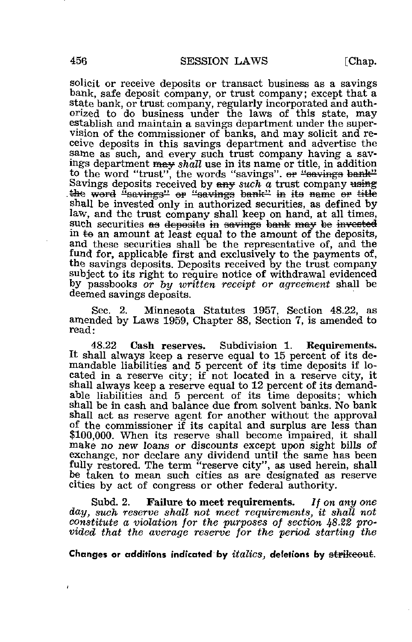solicit or receive deposits or transact business as a savings bank, safe deposit company, or trust company; except that a state bank, or trust company, regularly incorporated and authorized to do business under the laws of this state, may establish and maintain a savings department under the supervision of the commissioner of banks, and may solicit and receive deposits in this savings department and advertise the same as such, and every such trust company having a savings department may shall use in its name or title, in addition to the word "trust", the words "savings". or "savings bank" Savings deposits received by  $m \sin \alpha$  a trust company using the word "savings" or "savings bank" in its name or title shall be invested only in authorized securities, as defined by law, and the trust company shall keep on hand, at all times, such securities as deposite in savings bank may be invested in  $\pm$ o an amount at least equal to the amount of the deposits, and these securities shall be the representative of, and the fund for, applicable first and exclusively to the payments of, the savings deposits. Deposits received by the trust company subject to its right to require notice of withdrawal evidenced by passbooks or by written receipt or agreement shall be deemed savings deposits.

Sec. 2. Minnesota Statutes 1957, Section 48.22, as amended by Laws 1959, Chapter 88, Section 7, is amended to read:

48.22 Cash reserves. Subdivision 1. Requirements. It shall always keep a reserve equal to 15 percent of its demandable liabilities and 5 percent of its time deposits if located in a reserve city; if not located in a reserve city, it shall always keep a reserve equal to 12 percent of its demandable liabilities and 5 percent of its time deposits; which shall be in cash and balance due from solvent banks. No bank shall act as reserve agent for another without the approval of the commissioner if its capital and surplus are less than \$100,000. When its reserve shall become impaired, it shall make no new loans or discounts except upon sight bills of exchange, nor declare any dividend until the same has been fully restored. The term "reserve city", as used herein, shall be taken to mean such cities as are designated as reserve cities by act of congress or other federal authority.

Subd. 2. Failure to meet requirements. If on any one day, such reserve shall not meet requirements, it shall not constitute a violation for the purposes of section 48-22 provided that the average reserve for the period starting the

Changes or additions indicated by  $italics$ , deletions by  $\sigma$  at  $r$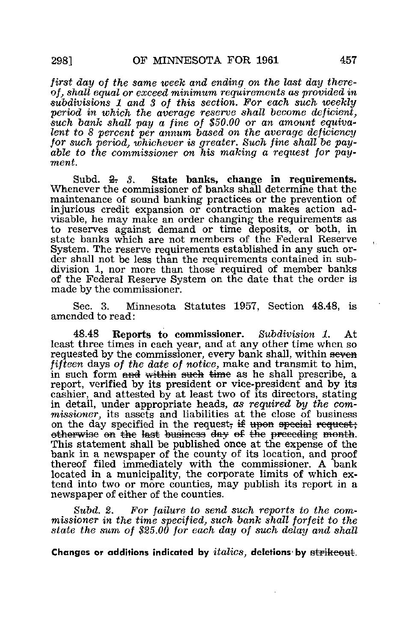first day of the same week and ending on the last day thereof, shall equal or exceed minimum requirements as provided in subdivisions 1 and 3 of this section. For each such weekly period in which the average reserve shall become deficient, such bank shall pay a fine of \$50.00 or an amount equivalent to 8 percent per annum based on the average deficiency for such period, whichever is greater. Such fine shall be payable to the commissioner on his making a request for payment.

Subd.  $\frac{2}{3}$ . State banks, change in requirements. Whenever the commissioner of banks shall determine that the maintenance of sound banking practices or the prevention of injurious credit expansion or contraction makes action advisable, he may make an order changing the requirements as to reserves against demand or time deposits, or both, in state banks which are not members of the Federal Reserve System. The reserve requirements established in any such order shall not be less than the requirements contained in subdivision 1, nor more than those required of member banks of the Federal Reserve System on the date that the order is made by the commissioner.

Sec. 3. Minnesota Statutes 1957, Section 48.48, is amended to read:

48.48 Reports to commissioner. Subdivision 1. At least three times in each year, and at any other time when so requested by the commissioner, every bank shall, within seven fifteen days of the date of notice, make and transmit to him, in such form and within such time as he shall prescribe, a report, verified by its president or vice-president and by its cashier, and attested by at least two of its directors, stating in detail, under appropriate heads, as required by the commissioner, its assets and liabilities at the close of business on the day specified in the request; if upon special request; otherwise on the last business day of the preceding month. This statement shall be published once at the expense of the bank in a newspaper of the county of its location, and proof thereof filed immediately with the commissioner. A bank located in a municipality, the corporate limits of which extend into two or more counties, may publish its report in a newspaper of either of the counties.

Subd. 2. For failure to send such reports to the commissioner in the time specified, such bank shall forfeit to the state the sum of \$25.00 for each day of such delay and shall

Changes or additions indicated by  $italics$ , deletions by  $\frac{4}{100}$ 

Ĺ.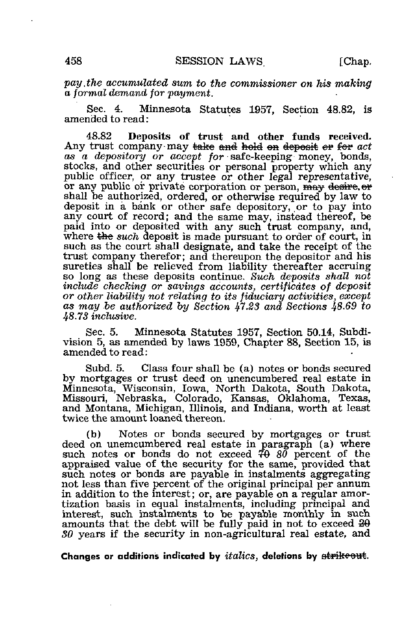pay .the accumulated sum to the commissioner on his making a formal demand for payment.

Sec. 4. Minnesota Statutes 1957, Section 48.82, is amended to read:

48.82 Deposits of trust and other funds received. Any trust company may <del>take and hold on deposit</del> or for act as a depository or accept for safe-keeping money, bonds, stocks, and other securities or personal property which any public officer, or any trustee or other legal representative, or any public or private corporation or person, may desire or shall be authorized, ordered, or otherwise required by law to deposit in a bank or other safe depository, or to pay into any court of record; and the same may, instead thereof, be paid into or deposited with any such trust company, and, where  $\theta$  and deposit is made pursuant to order of court, in such as the court shall designate, and take the receipt of the trust company therefor; and thereupon the depositor and his sureties shall be relieved from liability thereafter accruing so long as these deposits continue. Such deposits shall not include checking or savings accounts, certificates of deposit or other liability not relating to its fiduciary activities, except as may be authorized by Section 47.23 and Sections 48.69 to 48.73 inclusive.

Sec. 5. Minnesota Statutes 1957, Section 50.14, Subdivision 5, as amended by laws 1959, Chapter 88, Section 15, is amended to read:

Subd. 5. Class four shall be (a) notes or bonds secured by mortgages or trust deed on unencumbered real estate in Minnesota, Wisconsin, Iowa, North Dakota, South Dakota, Missouri, Nebraska, Colorado, Kansas, Oklahoma, Texas, and Montana, Michigan, Illinois, and Indiana, worth at least twice the amount loaned thereon.

(b) Notes or bonds secured by mortgages or trust deed on unemcumbered real estate in paragraph (a) where such notes or bonds do not exceed  $70\,80$  percent of the appraised value of the security for the same, provided that such notes or bonds are payable in instalments aggregating not less than five percent of the original principal per annum in addition to the interest; or, are payable on a regular amortization basis in equal instalments, including principal and interest, such instalments to be payable monthly in such amounts that the debt will be fully paid in not to exceed  $20$ SO years if the security in non-agricultural real estate, and

Changes or additions indicated by *italics*, deletions by strikeout.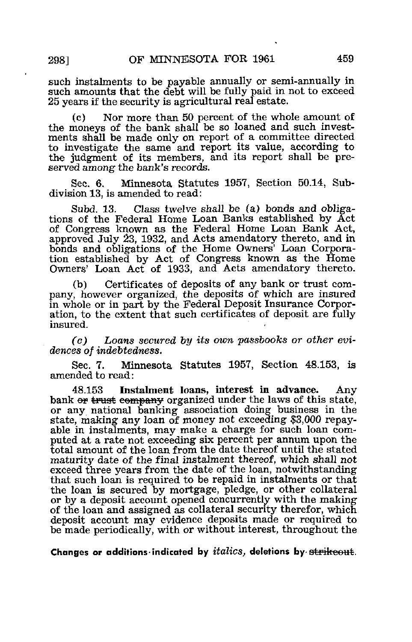such instalments to be payable annually or semi-annually in such amounts that the debt will be fully paid in not to exceed 25 years if the security is agricultural real estate.

Nor more than 50 percent of the whole amount of the moneys of the bank shall be so loaned and such investments shall be made only on report of a committee directed to investigate the same and report its value, according to the judgment of its members, and its report shall be preserved among the bank's records.

Sec. 6. Minnesota Statutes 1957, Section 50.14, Subdivision 13, is amended to read:

Subd. 13. Class twelve shall be (a) bonds and obligations of the Federal Home Loan Banks established by Act of Congress known as the Federal Home Loan Bank Act, approved July 23, 1932, and Acts amendatory thereto, and in bonds and obligations of the Home Owners' Loan Corporation established by Act of Congress known as the Home Owners' Loan Act of 1933, and Acts amendatory thereto.

(b) Certificates of deposits of any bank or trust company, however organized, the deposits of which are insured in whole or in part by the Federal Deposit Insurance Corporation, to the extent that such certificates of deposit are fully insured.

(c) Loans secured by its own passbooks or other evidences of indebtedness.

Sec. 7. Minnesota Statutes 1957, Section 48.153, is amended to read:

48.153 Instalment loans, interest in advance. Any bank or trust company organized under the laws of this state, or any national banking association doing business in the state, making any loan of money not exceeding \$3,000 repayable in instalments, may make a charge for such loan computed at a rate not exceeding six percent per annum upon the total amount of the loan from the date thereof until the stated maturity date of the final instalment thereof, which shall not exceed three years from the date of the loan, notwithstanding that such loan is required to be repaid in instalments or that the loan is secured by mortgage, pledge, or other collateral or by a deposit account opened concurrently with the making of the loan and assigned as collateral security therefor, which deposit account may evidence deposits made or required to be made periodically, with or without interest, throughout the

Changes or additions indicated by  $italics$ , deletions by  $\overline{\textbf{strikeout}}$ .